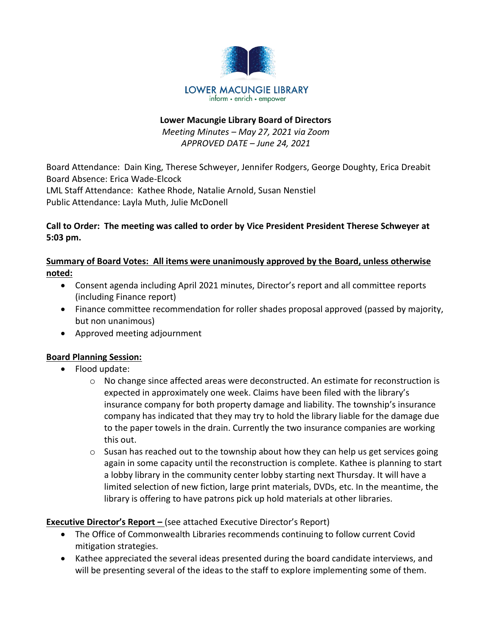

# **Lower Macungie Library Board of Directors** *Meeting Minutes – May 27, 2021 via Zoom APPROVED DATE – June 24, 2021*

Board Attendance: Dain King, Therese Schweyer, Jennifer Rodgers, George Doughty, Erica Dreabit Board Absence: Erica Wade-Elcock LML Staff Attendance: Kathee Rhode, Natalie Arnold, Susan Nenstiel Public Attendance: Layla Muth, Julie McDonell

# **Call to Order: The meeting was called to order by Vice President President Therese Schweyer at 5:03 pm.**

# **Summary of Board Votes: All items were unanimously approved by the Board, unless otherwise noted:**

- Consent agenda including April 2021 minutes, Director's report and all committee reports (including Finance report)
- Finance committee recommendation for roller shades proposal approved (passed by majority, but non unanimous)
- Approved meeting adjournment

# **Board Planning Session:**

- Flood update:
	- o No change since affected areas were deconstructed. An estimate for reconstruction is expected in approximately one week. Claims have been filed with the library's insurance company for both property damage and liability. The township's insurance company has indicated that they may try to hold the library liable for the damage due to the paper towels in the drain. Currently the two insurance companies are working this out.
	- $\circ$  Susan has reached out to the township about how they can help us get services going again in some capacity until the reconstruction is complete. Kathee is planning to start a lobby library in the community center lobby starting next Thursday. It will have a limited selection of new fiction, large print materials, DVDs, etc. In the meantime, the library is offering to have patrons pick up hold materials at other libraries.

# **Executive Director's Report -** (see attached Executive Director's Report)

- The Office of Commonwealth Libraries recommends continuing to follow current Covid mitigation strategies.
- Kathee appreciated the several ideas presented during the board candidate interviews, and will be presenting several of the ideas to the staff to explore implementing some of them.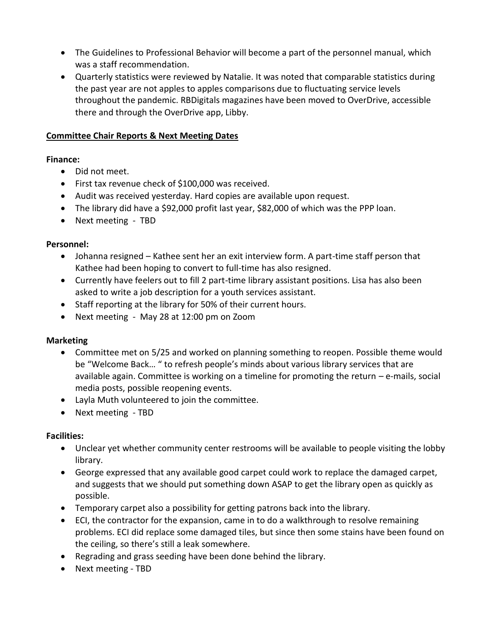- The Guidelines to Professional Behavior will become a part of the personnel manual, which was a staff recommendation.
- Quarterly statistics were reviewed by Natalie. It was noted that comparable statistics during the past year are not apples to apples comparisons due to fluctuating service levels throughout the pandemic. RBDigitals magazines have been moved to OverDrive, accessible there and through the OverDrive app, Libby.

#### **Committee Chair Reports & Next Meeting Dates**

#### **Finance:**

- Did not meet.
- First tax revenue check of \$100,000 was received.
- Audit was received yesterday. Hard copies are available upon request.
- The library did have a \$92,000 profit last year, \$82,000 of which was the PPP loan.
- Next meeting TBD

#### **Personnel:**

- Johanna resigned Kathee sent her an exit interview form. A part-time staff person that Kathee had been hoping to convert to full-time has also resigned.
- Currently have feelers out to fill 2 part-time library assistant positions. Lisa has also been asked to write a job description for a youth services assistant.
- Staff reporting at the library for 50% of their current hours.
- Next meeting May 28 at 12:00 pm on Zoom

# **Marketing**

- Committee met on 5/25 and worked on planning something to reopen. Possible theme would be "Welcome Back… " to refresh people's minds about various library services that are available again. Committee is working on a timeline for promoting the return – e-mails, social media posts, possible reopening events.
- Layla Muth volunteered to join the committee.
- Next meeting TBD

# **Facilities:**

- Unclear yet whether community center restrooms will be available to people visiting the lobby library.
- George expressed that any available good carpet could work to replace the damaged carpet, and suggests that we should put something down ASAP to get the library open as quickly as possible.
- Temporary carpet also a possibility for getting patrons back into the library.
- ECI, the contractor for the expansion, came in to do a walkthrough to resolve remaining problems. ECI did replace some damaged tiles, but since then some stains have been found on the ceiling, so there's still a leak somewhere.
- Regrading and grass seeding have been done behind the library.
- Next meeting TBD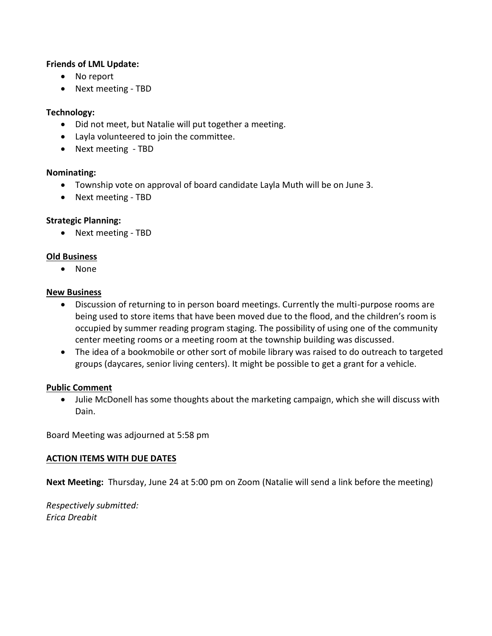#### **Friends of LML Update:**

- No report
- Next meeting TBD

# **Technology:**

- Did not meet, but Natalie will put together a meeting.
- Layla volunteered to join the committee.
- Next meeting TBD

#### **Nominating:**

- Township vote on approval of board candidate Layla Muth will be on June 3.
- Next meeting TBD

# **Strategic Planning:**

• Next meeting - TBD

#### **Old Business**

• None

#### **New Business**

- Discussion of returning to in person board meetings. Currently the multi-purpose rooms are being used to store items that have been moved due to the flood, and the children's room is occupied by summer reading program staging. The possibility of using one of the community center meeting rooms or a meeting room at the township building was discussed.
- The idea of a bookmobile or other sort of mobile library was raised to do outreach to targeted groups (daycares, senior living centers). It might be possible to get a grant for a vehicle.

#### **Public Comment**

 Julie McDonell has some thoughts about the marketing campaign, which she will discuss with Dain.

Board Meeting was adjourned at 5:58 pm

# **ACTION ITEMS WITH DUE DATES**

**Next Meeting:** Thursday, June 24 at 5:00 pm on Zoom (Natalie will send a link before the meeting)

*Respectively submitted: Erica Dreabit*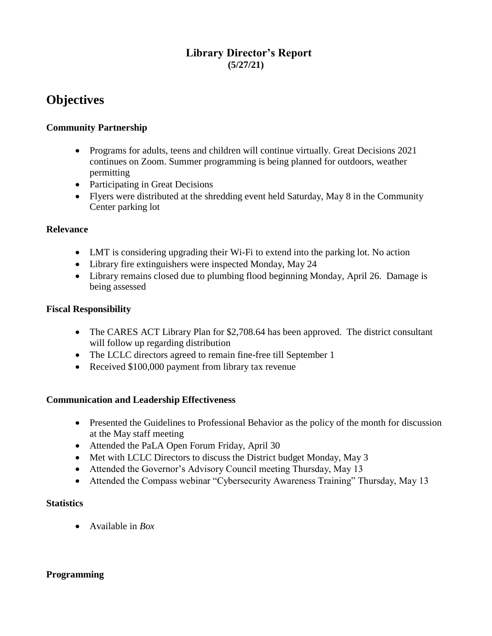# **Library Director's Report (5/27/21)**

# **Objectives**

# **Community Partnership**

- Programs for adults, teens and children will continue virtually. Great Decisions 2021 continues on Zoom. Summer programming is being planned for outdoors, weather permitting
- Participating in Great Decisions
- Flyers were distributed at the shredding event held Saturday, May 8 in the Community Center parking lot

#### **Relevance**

- LMT is considering upgrading their Wi-Fi to extend into the parking lot. No action
- Library fire extinguishers were inspected Monday, May 24
- Library remains closed due to plumbing flood beginning Monday, April 26. Damage is being assessed

# **Fiscal Responsibility**

- The CARES ACT Library Plan for \$2,708.64 has been approved. The district consultant will follow up regarding distribution
- The LCLC directors agreed to remain fine-free till September 1
- Received \$100,000 payment from library tax revenue

# **Communication and Leadership Effectiveness**

- Presented the Guidelines to Professional Behavior as the policy of the month for discussion at the May staff meeting
- Attended the PaLA Open Forum Friday, April 30
- Met with LCLC Directors to discuss the District budget Monday, May 3
- Attended the Governor's Advisory Council meeting Thursday, May 13
- Attended the Compass webinar "Cybersecurity Awareness Training" Thursday, May 13

# **Statistics**

Available in *Box*

# **Programming**